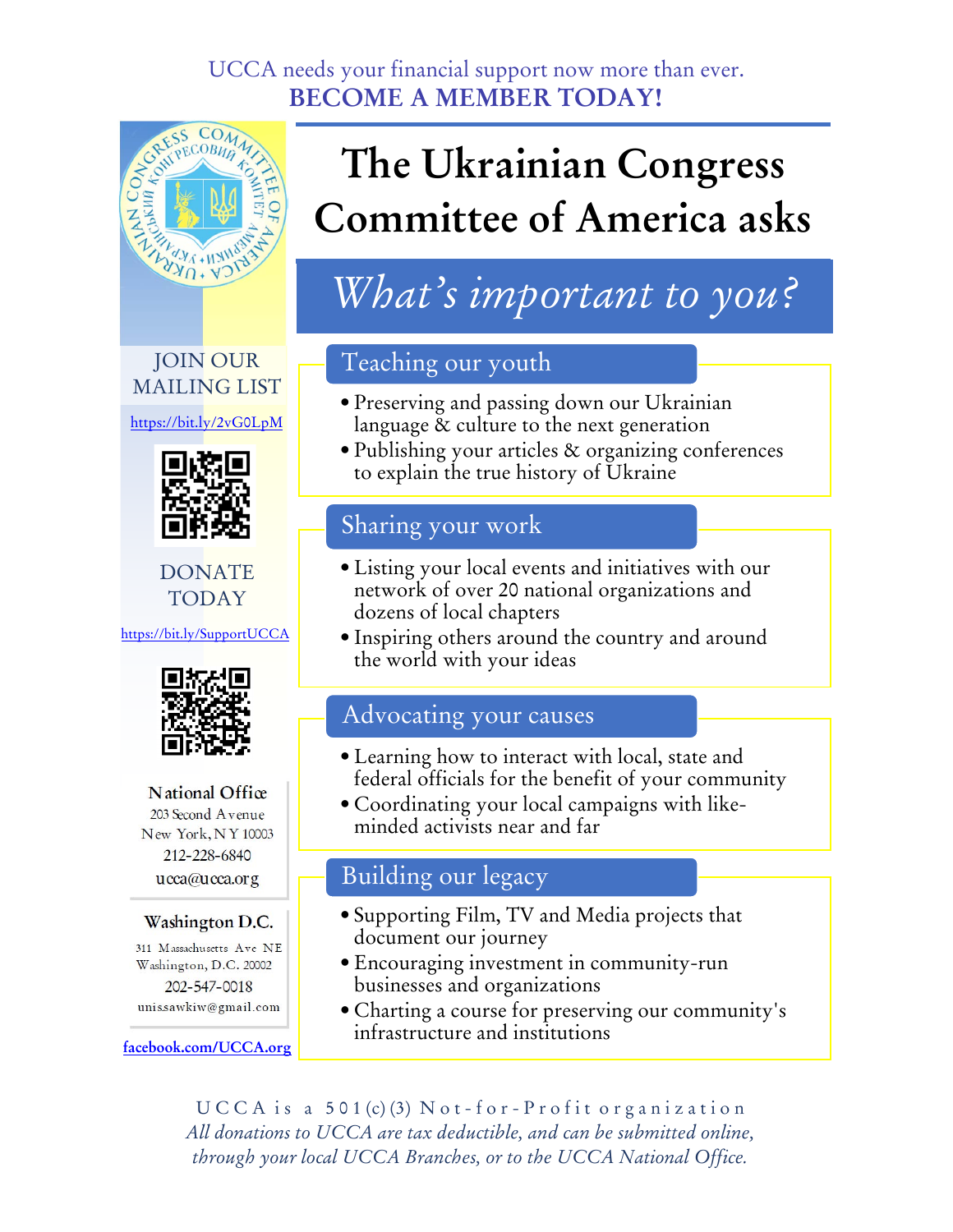#### UCCA needs your financial support now more than ever. **BECOME A MEMBER TODAY!**



#### JOIN OUR MAILING LIST

[https://bit.ly/2vG0LpM](http://bit.ly/2vG0LpM)



DONATE TODAY

https://[bit.ly/SupportUCCA](https://www.mightycause.com/organization/Ucca)



**National Office** 203 Second Avenue New York, NY 10003 212-228-6840 ucca@ucca.org

#### Washington D.C.

311 Massachusetts Ave NE Washington, D.C. 20002 202-547-0018 unis.sawkiw@gmail.com

**[facebook.com/UCCA.org](https://www.facebook.com/UCCA.org)**

## **The Ukrainian Congress Committee of America asks**

### *What's important to you?*

#### Teaching our youth

- Preserving and passing down our Ukrainian language & culture to the next generation
- Publishing your articles & organizing conferences to explain the true history of Ukraine

#### Sharing your work

- Listing your local events and initiatives with our network of over 20 national organizations and dozens of local chapters
- Inspiring others around the country and around the world with your ideas

#### Advocating your causes

- Learning how to interact with local, state and federal officials for the benefit of your community
- Coordinating your local campaigns with likeminded activists near and far

#### Building our legacy

- Supporting Film, TV and Media projects that document our journey
- Encouraging investment in community-run businesses and organizations
- Charting a course for preserving our community's infrastructure and institutions

 $UCCA$  is a  $501(c)(3)$  Not-for-Profit organization *All donations to UCCA are tax deductible, and can be submitted online, through your local UCCA Branches, or to the UCCA National Office.*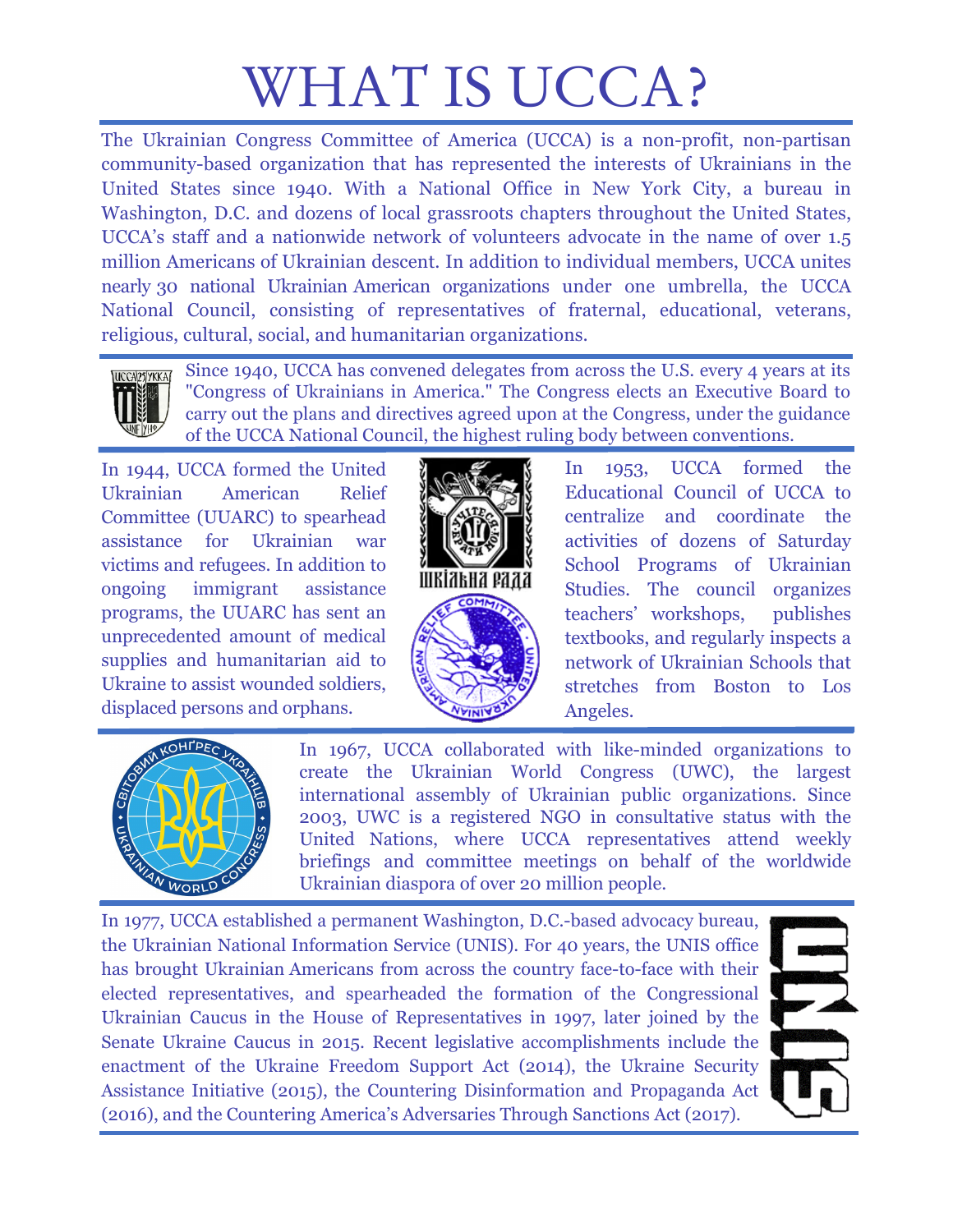# WHAT IS UCCA?

The Ukrainian Congress Committee of America (UCCA) is a non-profit, non-partisan community-based organization that has represented the interests of Ukrainians in the United States since 1940. With a National Office in New York City, a bureau in Washington, D.C. and dozens of local grassroots chapters throughout the United States, UCCA's staff and a nationwide network of volunteers advocate in the name of over 1.5 million Americans of Ukrainian descent. In addition to individual members, UCCA unites nearly 30 national Ukrainian American organizations under one umbrella, the UCCA National Council, consisting of representatives of fraternal, educational, veterans, religious, cultural, social, and humanitarian organizations.



Since 1940, UCCA has convened delegates from across the U.S. every 4 years at its "Congress of Ukrainians in America." The Congress elects an Executive Board to carry out the plans and directives agreed upon at the Congress, under the guidance of the UCCA National Council, the highest ruling body between conventions.

In 1944, UCCA formed the United Ukrainian American Relief Committee (UUARC) to spearhead assistance for Ukrainian war victims and refugees. In addition to ongoing immigrant assistance programs, the UUARC has sent an unprecedented amount of medical supplies and humanitarian aid to Ukraine to assist wounded soldiers, displaced persons and orphans.



In 1953, UCCA formed the Educational Council of UCCA to centralize and coordinate the activities of dozens of Saturday School Programs of Ukrainian Studies. The council organizes teachers' workshops, publishes textbooks, and regularly inspects a network of Ukrainian Schools that stretches from Boston to Los Angeles.



In 1967, UCCA collaborated with like-minded organizations to create the Ukrainian World Congress (UWC), the largest international assembly of Ukrainian public organizations. Since 2003, UWC is a registered NGO in consultative status with the United Nations, where UCCA representatives attend weekly briefings and committee meetings on behalf of the worldwide Ukrainian diaspora of over 20 million people.

In 1977, UCCA established a permanent Washington, D.C.-based advocacy bureau, the Ukrainian National Information Service (UNIS). For 40 years, the UNIS office has brought Ukrainian Americans from across the country face-to-face with their elected representatives, and spearheaded the formation of the Congressional Ukrainian Caucus in the House of Representatives in 1997, later joined by the Senate Ukraine Caucus in 2015. Recent legislative accomplishments include the enactment of the Ukraine Freedom Support Act (2014), the Ukraine Security Assistance Initiative (2015), the Countering Disinformation and Propaganda Act (2016), and the Countering America's Adversaries Through Sanctions Act (2017).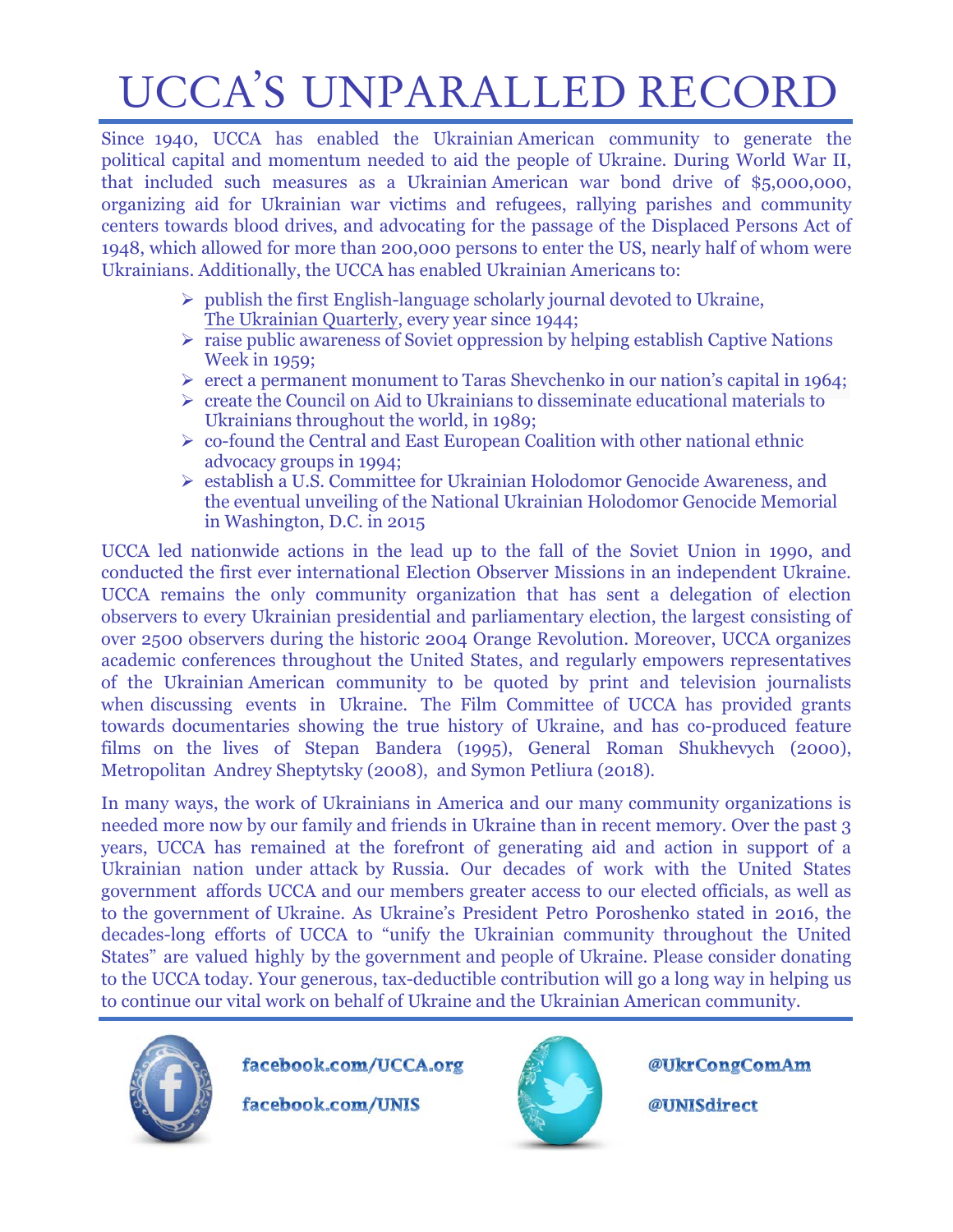## UCCA'S UNPARALLED RECORD

Since 1940, UCCA has enabled the Ukrainian American community to generate the political capital and momentum needed to aid the people of Ukraine. During World War II, that included such measures as a Ukrainian American war bond drive of \$5,000,000, organizing aid for Ukrainian war victims and refugees, rallying parishes and community centers towards blood drives, and advocating for the passage of the Displaced Persons Act of 1948, which allowed for more than 200,000 persons to enter the US, nearly half of whom were Ukrainians. Additionally, the UCCA has enabled Ukrainian Americans to:

- $\triangleright$  publish the first English-language scholarly journal devoted to Ukraine, The Ukrainian Quarterly, every year since 1944;
- $\triangleright$  raise public awareness of Soviet oppression by helping establish Captive Nations Week in 1959;
- $\triangleright$  erect a permanent monument to Taras Shevchenko in our nation's capital in 1964;
- $\triangleright$  create the Council on Aid to Ukrainians to disseminate educational materials to Ukrainians throughout the world, in 1989;
- $\triangleright$  co-found the Central and East European Coalition with other national ethnic advocacy groups in 1994;
- establish a U.S. Committee for Ukrainian Holodomor Genocide Awareness, and the eventual unveiling of the National Ukrainian Holodomor Genocide Memorial in Washington, D.C. in 2015

UCCA led nationwide actions in the lead up to the fall of the Soviet Union in 1990, and conducted the first ever international Election Observer Missions in an independent Ukraine. UCCA remains the only community organization that has sent a delegation of election observers to every Ukrainian presidential and parliamentary election, the largest consisting of over 2500 observers during the historic 2004 Orange Revolution. Moreover, UCCA organizes academic conferences throughout the United States, and regularly empowers representatives of the Ukrainian American community to be quoted by print and television journalists when discussing events in Ukraine. The Film Committee of UCCA has provided grants towards documentaries showing the true history of Ukraine, and has co-produced feature films on the lives of Stepan Bandera (1995), General Roman Shukhevych (2000), Metropolitan Andrey Sheptytsky (2008), and Symon Petliura (2018).

In many ways, the work of Ukrainians in America and our many community organizations is needed more now by our family and friends in Ukraine than in recent memory. Over the past 3 years, UCCA has remained at the forefront of generating aid and action in support of a Ukrainian nation under attack by Russia. Our decades of work with the United States government affords UCCA and our members greater access to our elected officials, as well as to the government of Ukraine. As Ukraine's President Petro Poroshenko stated in 2016, the decades-long efforts of UCCA to "unify the Ukrainian community throughout the United States" are valued highly by the government and people of Ukraine. Please consider donating to the UCCA today. Your generous, tax-deductible contribution will go a long way in helping us to continue our vital work on behalf of Ukraine and the Ukrainian American community.



facebook.com/UCCA.org

facebook.com/UNIS



@UkrCongComAm

@UNISdirect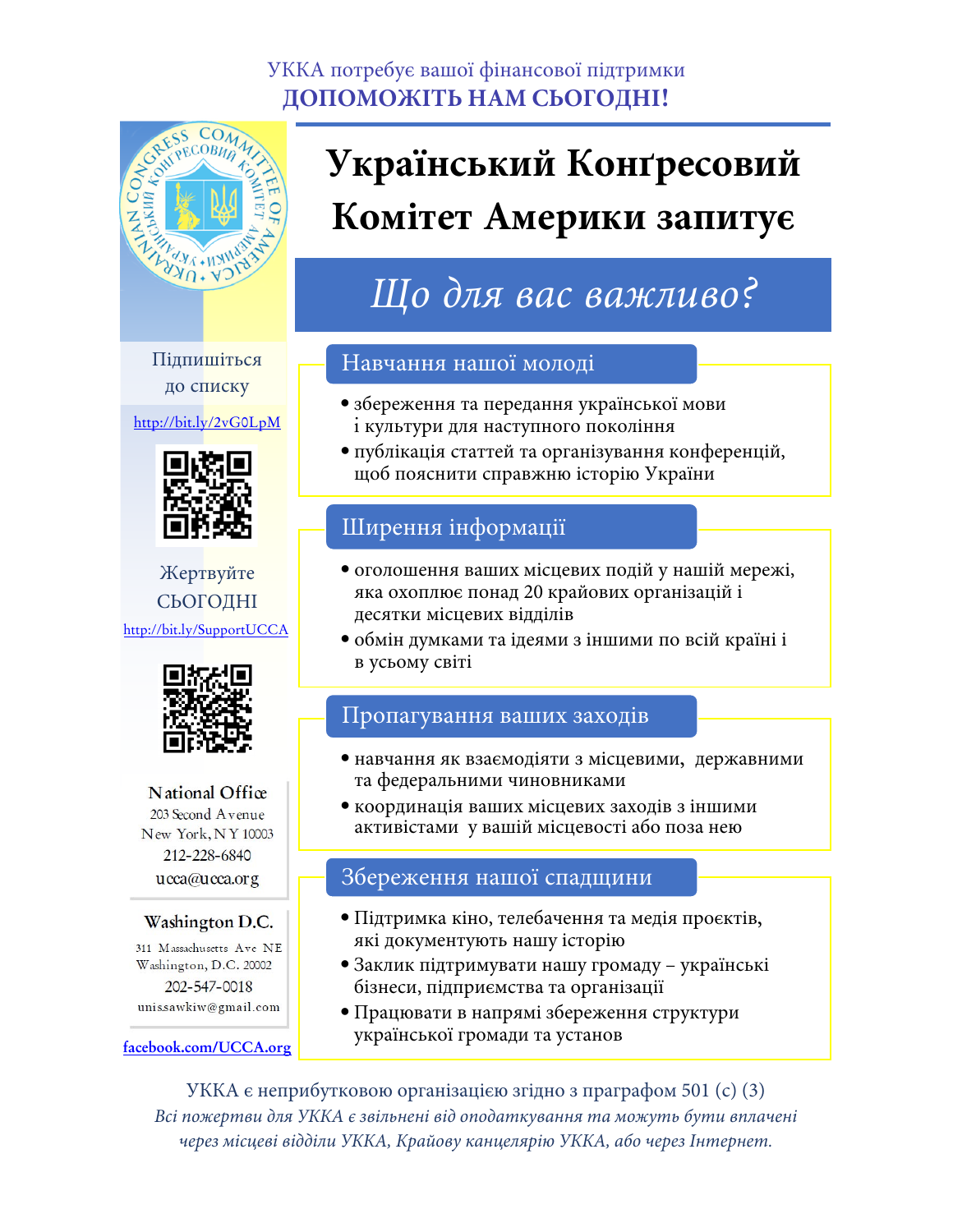#### УККА потребує вашої фінансової підтримки **ДОПОМОЖІТЬ НАМ СЬОГОДНІ!**



## **Український Конґресовий Комітет Америки запитує**

### *Що для вас важливо?*

#### Підпишіться до списку

<http://bit.ly/2vG0LpM>



Жертвуйте СЬОГОДНІ http://bit.ly/[SupportUCCA](https://www.mightycause.com/organization/Ucca)



National Office 203 Second Avenue New York, NY 10003 212-228-6840 ucca@ucca.org

#### Washington D.C.

311 Massachusetts Ave NE Washington, D.C. 20002 202-547-0018 unis.sawkiw@gmail.com

**[facebook.com/UCCA.org](https://www.facebook.com/UCCA.org)**

Навчання нашої молоді

- збереження та передання української мови i культури для наступного покоління
- публікація статтей та організування конференцій, щоб пояснити справжню історію України

#### Ширення інформації

- оголошення ваших місцевих подій у нашій мережі, яка охоплює понад 20 крайових організацій і десятки місцевих відділів
- обмін думками та ідеями з іншими по всій країні і в усьому світі

#### Пропагування ваших заходів

- навчання як взаємодіяти з місцевими, державними та федеральними чиновниками
- координація ваших місцевих заходів з іншими активістами у вашій місцевості або поза нею

#### Збереження нашої спадщини

- Підтримка кіно, телебачення та медія проєктів, які документують нашу історію
- Заклик підтримувати нашу громаду українські бізнеси, підприємства та організації
- Працювати в напрямі збереження структури української громади та установ

УККА є неприбутковою організацією згідно з праграфом 501 (c) (3) *Всі пожертви для УККА є звільнені від оподаткування та можуть бути вплачені через місцеві відділи УККА, Крайову канцелярію УККА, або через Інтернет.*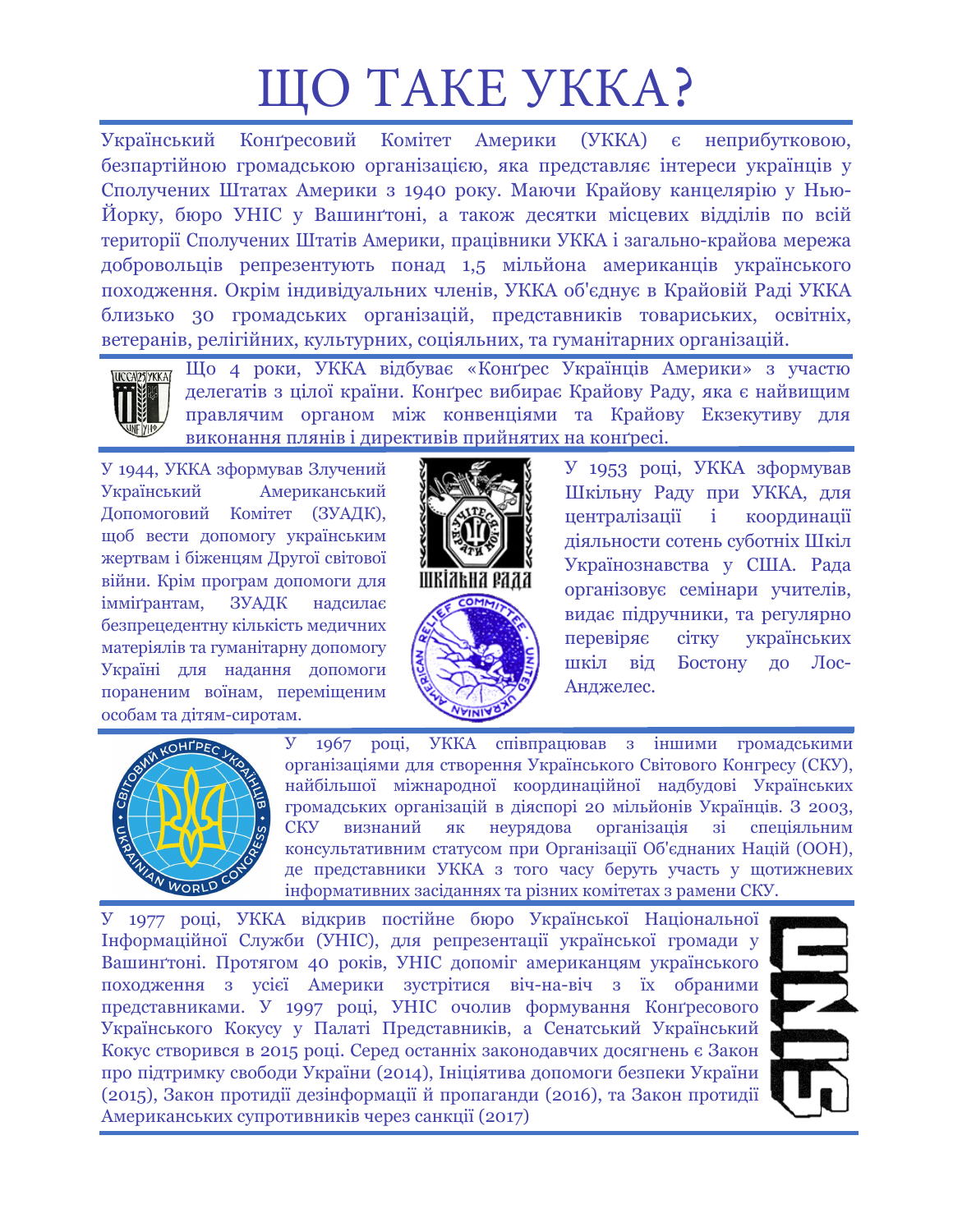# ЩО ТАКЕ УККА?

Український Конґресовий Комітет Америки (УККА) є неприбутковою, безпартійною громадською організацією, яка представляє інтереси українців у Сполучених Штатах Америки з 1940 року. Маючи Крайову канцелярію у Нью-Йорку, бюро УНІС у Вашинґтоні, а також десятки місцевих відділів по всій території Сполучених Штатів Америки, працівники УККА і загально-крайова мережа добровольців репрезентують понад 1,5 мільйона американців українського походження. Окрім індивідуальних членів, УККА об'єднує в Крайовій Раді УККА близько 30 громадських організацій, представників товариських, освітніх, ветеранів, релігійних, культурних, соціяльних, та гуманітарних організацій.



Що 4 роки, УККА відбуває «Конґрес Українців Америки» з участю делегатів з цілої країни. Конґрес вибирає Крайову Раду, яка є найвищим правлячим органом між конвенціями та Крайову Екзекутиву для виконання плянів і директивів прийнятих на конґресі.

У 1944, УККА зформував Злучений Український Американський Допомоговий Комітет (ЗУАДК), щоб вести допомогу українським жертвам і біженцям Другої світової війни. Крім програм допомоги для імміґрантам, ЗУАДК надсилає безпрецедентну кількість медичних матеріялів та гуманітарну допомогу Україні для надання допомоги пораненим воїнам, переміщеним особам та дітям-сиротам.



У 1953 році, УККА зформував Шкільну Раду при УККА, для централізації і координації діяльности сотень суботніх Шкіл Українознавства у США. Рада організовує семінари учителів, видає підручники, та регулярно перевіряє сітку українських шкіл від Бостону до Лос-Анджелес.



У 1967 році, УККА співпрацював з іншими громадськими організаціями для створення Українського Світового Конгресу (СКУ), найбільшої міжнародної координаційної надбудові Українських громадських організацій в діяспорі 20 мільйонів Українців. З 2003, СКУ визнаний як неурядова організація зі спеціяльним консультативним статусом при Організації Об'єднаних Націй (ООН), де представники УККА з того часу беруть участь у щотижневих інформативних засіданнях та різних комітетах з рамени СКУ.

У 1977 році, УККА відкрив постійне бюро Української Національної Інформаційної Служби (УНІС), для репрезентації української громади у Вашинґтоні. Протягом 40 років, УНІС допоміг американцям українського походження з усієї Америки зустрітися віч-на-віч з їх обраними представниками. У 1997 році, УНІС очолив формування Конґресового Українського Кокусу у Палаті Представників, а Сенатський Український Кокус створився в 2015 році. Серед останніх законодавчих досягнень є Закон про підтримку свободи України (2014), Ініціятива допомоги безпеки України (2015), Закон протидії дезінформації й пропаганди (2016), та Закон протидії Американських супротивників через санкції (2017)